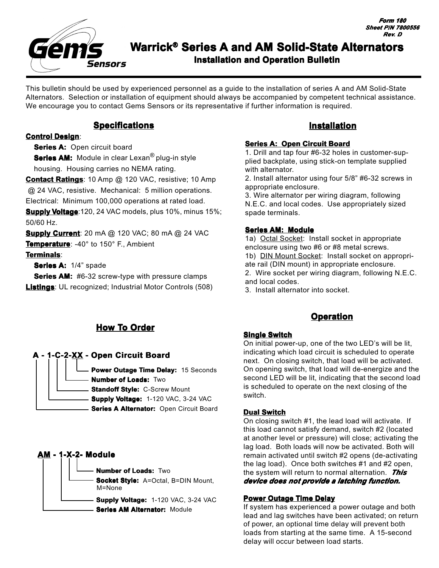

This bulletin should be used by experienced personnel as a guide to the installation of series A and AM Solid-State Alternators. Selection or installation of equipment should always be accompanied by competent technical assistance. We encourage you to contact Gems Sensors or its representative if further information is required.

## **Specifications**

#### **Control Design**:

**Series A: Series A:** Open circuit board

**Series AM:** Module in clear Lexan<sup>®</sup> plug-in style housing. Housing carries no NEMA rating.

**Contact Ratings**: 10 Amp @ 120 VAC, resistive; 10 Amp

 @ 24 VAC, resistive. Mechanical: 5 million operations. Electrical: Minimum 100,000 operations at rated load.

**Supply Voltage**:120, 24 VAC models, plus 10%, minus 15%; 50/60 Hz.

**Supply Current**: 20 mA @ 120 VAC; 80 mA @ 24 VAC

**Temperature**: -40° to 150° F., Ambient

### **Terminals**:

**Series A: 1/4" spade** 

**Series AM:** #6-32 screw-type with pressure clamps **Listings**: UL recognized; Industrial Motor Controls (508)

# **How To Order**



**Supply Voltage:** 1-120 VAC, 3-24 VAC

**Series A Alternator: Open Circuit Board** 

# **AM - 1-X-2- Module**

**Number of Loads:** Two **Socket Style:** A=Octal, B=DIN Mount, **Supply Voltage:** 1-120 VAC, 3-24 VAC **Series AM Alternator: Module** M=None

## **Installation**

#### **Series A: Open Circuit Board**

1. Drill and tap four #6-32 holes in customer-supplied backplate, using stick-on template supplied with alternator.

2. Install alternator using four 5/8" #6-32 screws in appropriate enclosure.

3. Wire alternator per wiring diagram, following N.E.C. and local codes. Use appropriately sized spade terminals.

#### **Series AM: Module**

1a) Octal Socket: Install socket in appropriate enclosure using two #6 or #8 metal screws. 1b) DIN Mount Socket: Install socket on appropriate rail (DIN mount) in appropriate enclosure. 2. Wire socket per wiring diagram, following N.E.C. and local codes.

3. Install alternator into socket.

# **Operation**

### **Single Switch**

On initial power-up, one of the two LED's will be lit, indicating which load circuit is scheduled to operate next. On closing switch, that load will be activated. On opening switch, that load will de-energize and the second LED will be lit, indicating that the second load is scheduled to operate on the next closing of the switch.

#### **Dual Switch**

On closing switch #1, the lead load will activate. If this load cannot satisfy demand, switch #2 (located at another level or pressure) will close; activating the lag load. Both loads will now be activated. Both will remain activated until switch #2 opens (de-activating the lag load). Once both switches #1 and #2 open, the system will return to normal alternation. *This device does not provide a latching function.* 

### **Power Outage Time Delay**

If system has experienced a power outage and both lead and lag switches have been activated; on return of power, an optional time delay will prevent both loads from starting at the same time. A 15-second delay will occur between load starts.